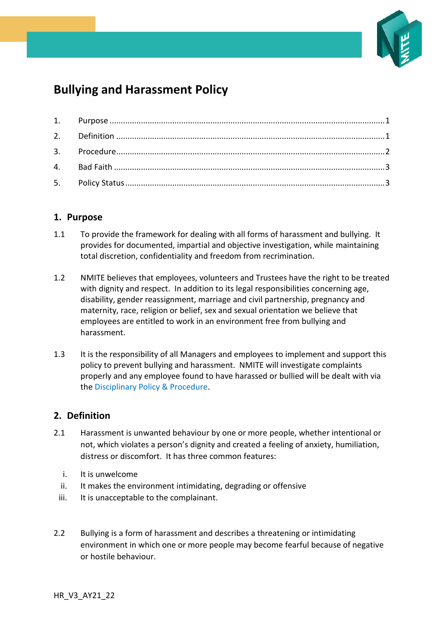

# **Bullying and Harassment Policy**

## <span id="page-0-0"></span>**1. Purpose**

- 1.1 To provide the framework for dealing with all forms of harassment and bullying. It provides for documented, impartial and objective investigation, while maintaining total discretion, confidentiality and freedom from recrimination.
- 1.2 NMITE believes that employees, volunteers and Trustees have the right to be treated with dignity and respect. In addition to its legal responsibilities concerning age, disability, gender reassignment, marriage and civil partnership, pregnancy and maternity, race, religion or belief, sex and sexual orientation we believe that employees are entitled to work in an environment free from bullying and harassment.
- 1.3 It is the responsibility of all Managers and employees to implement and support this policy to prevent bullying and harassment. NMITE will investigate complaints properly and any employee found to have harassed or bullied will be dealt with via the Disciplinary Policy & Procedure.

# <span id="page-0-1"></span>**2. Definition**

- 2.1 Harassment is unwanted behaviour by one or more people, whether intentional or not, which violates a person's dignity and created a feeling of anxiety, humiliation, distress or discomfort. It has three common features:
	- i. It is unwelcome
	- ii. It makes the environment intimidating, degrading or offensive
	- iii. It is unacceptable to the complainant.
- 2.2 Bullying is a form of harassment and describes a threatening or intimidating environment in which one or more people may become fearful because of negative or hostile behaviour.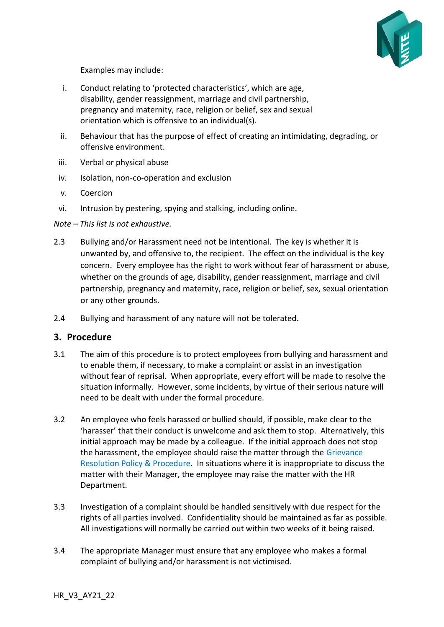

Examples may include:

- i. Conduct relating to 'protected characteristics', which are age, disability, gender reassignment, marriage and civil partnership, pregnancy and maternity, race, religion or belief, sex and sexual orientation which is offensive to an individual(s).
- ii. Behaviour that has the purpose of effect of creating an intimidating, degrading, or offensive environment.
- iii. Verbal or physical abuse
- iv. Isolation, non-co-operation and exclusion
- v. Coercion
- vi. Intrusion by pestering, spying and stalking, including online.

*Note – This list is not exhaustive.*

- 2.3 Bullying and/or Harassment need not be intentional. The key is whether it is unwanted by, and offensive to, the recipient. The effect on the individual is the key concern. Every employee has the right to work without fear of harassment or abuse, whether on the grounds of age, disability, gender reassignment, marriage and civil partnership, pregnancy and maternity, race, religion or belief, sex, sexual orientation or any other grounds.
- 2.4 Bullying and harassment of any nature will not be tolerated.

#### <span id="page-1-0"></span>**3. Procedure**

- 3.1 The aim of this procedure is to protect employees from bullying and harassment and to enable them, if necessary, to make a complaint or assist in an investigation without fear of reprisal. When appropriate, every effort will be made to resolve the situation informally. However, some incidents, by virtue of their serious nature will need to be dealt with under the formal procedure.
- 3.2 An employee who feels harassed or bullied should, if possible, make clear to the 'harasser' that their conduct is unwelcome and ask them to stop. Alternatively, this initial approach may be made by a colleague. If the initial approach does not stop the harassment, the employee should raise the matter through the Grievance Resolution Policy & Procedure. In situations where it is inappropriate to discuss the matter with their Manager, the employee may raise the matter with the HR Department.
- 3.3 Investigation of a complaint should be handled sensitively with due respect for the rights of all parties involved. Confidentiality should be maintained as far as possible. All investigations will normally be carried out within two weeks of it being raised.
- 3.4 The appropriate Manager must ensure that any employee who makes a formal complaint of bullying and/or harassment is not victimised.